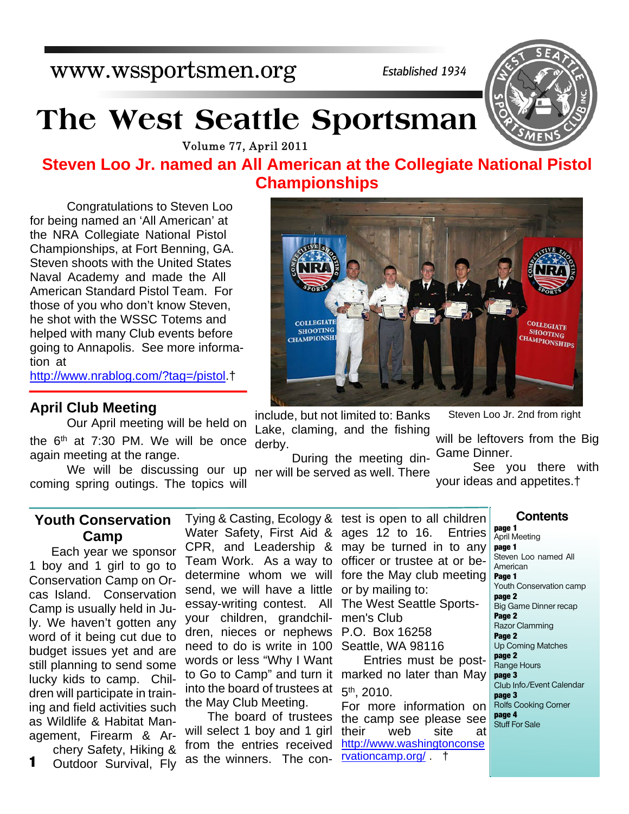## www.wssportsmen.org

*Established 1934*

# **The West Seattle Sportsman**

Volume 77, April 2011

### **Steven Loo Jr. named an All American at the Collegiate National Pistol Championships**

 Congratulations to Steven Loo for being named an 'All American' at the NRA Collegiate National Pistol Championships, at Fort Benning, GA. Steven shoots with the United States Naval Academy and made the All American Standard Pistol Team. For those of you who don't know Steven, he shot with the WSSC Totems and helped with many Club events before going to Annapolis. See more information at

http://www.nrablog.com/?tag=/pistol.†

#### **April Club Meeting**

the 6<sup>th</sup> at 7:30 PM. We will be once derby. Our April meeting will be held on again meeting at the range.

We will be discussing our up ner will be served as well. There coming spring outings. The topics will

include, but not limited to: Banks Lake, claming, and the fishing

will be leftovers from the Big Game Dinner.

Steven Loo Jr. 2nd from right

During the meeting din-

 See you there with your ideas and appetites.†

#### **Youth Conservation Camp**

Each year we sponsor 1 boy and 1 girl to go to Conservation Camp on Orcas Island. Conservation Camp is usually held in July. We haven't gotten any word of it being cut due to budget issues yet and are still planning to send some lucky kids to camp. Children will participate in training and field activities such as Wildlife & Habitat Management, Firearm & Archery Safety, Hiking &

Outdoor Survival, Fly

Water Safety, First Aid & ages 12 to 16. Entries CPR, and Leadership & may be turned in to any Team Work. As a way to officer or trustee at or bedetermine whom we will fore the May club meeting send, we will have a little or by mailing to: essay-writing contest. All your children, grandchildren, nieces or nephews need to do is write in 100 Seattle, WA 98116 words or less "Why I Want to Go to Camp" and turn it marked no later than May into the board of trustees at the May Club Meeting.

The board of trustees will select 1 boy and 1 girl from the entries received 1 Outdoor Survival, Fly as the winners. The con- **reationcamp.org/ t** 

Tying & Casting, Ecology & test is open to all children The West Seattle Sportsmen's Club P.O. Box 16258 Entries must be post-5<sup>th</sup>, 2010. For more information on the camp see please see their web site at **page 1 page 1**

http://www.washingtonconse

April Meeting

**Contents**

Steven Loo named All American **Page 1** Youth Conservation camp **page 2** Big Game Dinner recap **Page 2** Razor Clamming **Page 2** Up Coming Matches **page 2** Range Hours **page 3** Club Info./Event Calendar **page 3** Rolfs Cooking Corner **page 4** Stuff For Sale



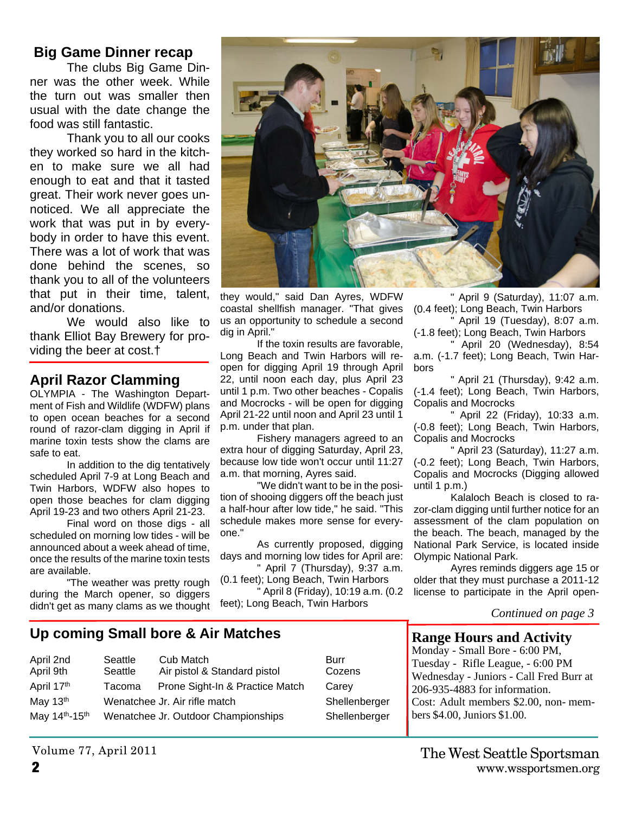#### **Big Game Dinner recap**

The clubs Big Game Dinner was the other week. While the turn out was smaller then usual with the date change the food was still fantastic.

Thank you to all our cooks they worked so hard in the kitchen to make sure we all had enough to eat and that it tasted great. Their work never goes unnoticed. We all appreciate the work that was put in by everybody in order to have this event. There was a lot of work that was done behind the scenes, so thank you to all of the volunteers that put in their time, talent, and/or donations.

We would also like to thank Elliot Bay Brewery for providing the beer at cost.†

#### **April Razor Clamming**

OLYMPIA - The Washington Department of Fish and Wildlife (WDFW) plans to open ocean beaches for a second round of razor-clam digging in April if marine toxin tests show the clams are safe to eat.

 In addition to the dig tentatively scheduled April 7-9 at Long Beach and Twin Harbors, WDFW also hopes to open those beaches for clam digging April 19-23 and two others April 21-23.

 Final word on those digs - all scheduled on morning low tides - will be announced about a week ahead of time, once the results of the marine toxin tests are available.

 "The weather was pretty rough during the March opener, so diggers didn't get as many clams as we thought



they would," said Dan Ayres, WDFW coastal shellfish manager. "That gives us an opportunity to schedule a second dig in April."

 If the toxin results are favorable, Long Beach and Twin Harbors will reopen for digging April 19 through April 22, until noon each day, plus April 23 until 1 p.m. Two other beaches - Copalis and Mocrocks - will be open for digging April 21-22 until noon and April 23 until 1 p.m. under that plan.

 Fishery managers agreed to an extra hour of digging Saturday, April 23, because low tide won't occur until 11:27 a.m. that morning, Ayres said.

 "We didn't want to be in the position of shooing diggers off the beach just a half-hour after low tide," he said. "This schedule makes more sense for everyone."

 As currently proposed, digging days and morning low tides for April are: " April 7 (Thursday), 9:37 a.m.

(0.1 feet); Long Beach, Twin Harbors " April 8 (Friday), 10:19 a.m. (0.2 feet); Long Beach, Twin Harbors

 " April 9 (Saturday), 11:07 a.m. (0.4 feet); Long Beach, Twin Harbors

" April 19 (Tuesday), 8:07 a.m. (-1.8 feet); Long Beach, Twin Harbors

 " April 20 (Wednesday), 8:54 a.m. (-1.7 feet); Long Beach, Twin Harbors

 " April 21 (Thursday), 9:42 a.m. (-1.4 feet); Long Beach, Twin Harbors, Copalis and Mocrocks

 " April 22 (Friday), 10:33 a.m. (-0.8 feet); Long Beach, Twin Harbors, Copalis and Mocrocks

 " April 23 (Saturday), 11:27 a.m. (-0.2 feet); Long Beach, Twin Harbors, Copalis and Mocrocks (Digging allowed until 1 p.m.)

 Kalaloch Beach is closed to razor-clam digging until further notice for an assessment of the clam population on the beach. The beach, managed by the National Park Service, is located inside Olympic National Park.

 Ayres reminds diggers age 15 or older that they must purchase a 2011-12 license to participate in the April open-

#### *Continued on page 3*

#### **Up coming Small bore & Air Matches**

| April 2nd<br>April 9th | Seattle<br>Seattle | Cub Match<br>Air pistol & Standard pistol | Burr<br>Cozens |
|------------------------|--------------------|-------------------------------------------|----------------|
| April 17th             | Tacoma             | Prone Sight-In & Practice Match           | Carey          |
| May 13th               |                    | Wenatchee Jr. Air rifle match             | Shellen        |
| May 14th-15th          |                    | Wenatchee Jr. Outdoor Championships       | Shellen        |
|                        |                    |                                           |                |

Shellenberger Shellenberger

#### **Range Hours and Activity**

Monday - Small Bore - 6:00 PM, Tuesday - Rifle League, - 6:00 PM Wednesday - Juniors - Call Fred Burr at 206-935-4883 for information. Cost: Adult members \$2.00, non- members \$4.00, Juniors \$1.00.

Volume 77, April 2011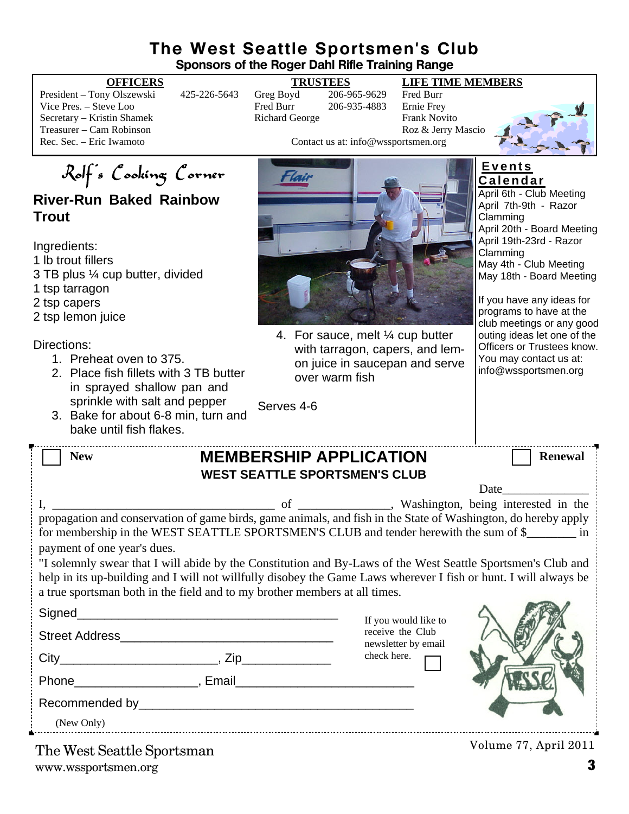#### **The West Seattle Sportsmen's Club Sponsors of the Roger Dahl Rifle Training Range**

President – Tony Olszewski 425-226-5643 Greg Boyd 206-965-9629 Fred Burr Vice Pres. – Steve Loo Fred Burr 206-935-4883 Secretary – Kristin Shamek **Richard George Frank Novito** Richard George Frank Novito Treasurer – Cam Robinson<br>
Roz & Jerry Mascio<br>
Rec. Sec. – Eric Iwamoto<br>
Roz & Jerry Mascio<br>
Contact us at: info@wssportsmen.org

#### **OFFICERS TRUSTEES LIFE TIME MEMBERS**

Contact us at: info@wssportsmen.org



Rolf's Cooking Corner

#### **River-Run Baked Rainbow Trout**

Ingredients:

1 lb trout fillers

3 TB plus ¼ cup butter, divided

1 tsp tarragon

2 tsp capers

2 tsp lemon juice

Directions:

- 1. Preheat oven to 375.
- 2. Place fish fillets with 3 TB butter in sprayed shallow pan and sprinkle with salt and pepper
- 3. Bake for about 6-8 min, turn and bake until fish flakes.



4. For sauce, melt ¼ cup butter with tarragon, capers, and lemon juice in saucepan and serve over warm fish

**C a l e n d a r** April 6th - Club Meeting April 7th-9th - Razor Clamming

**E v e n t s**

April 20th - Board Meeting April 19th-23rd - Razor Clamming May 4th - Club Meeting May 18th - Board Meeting

If you have any ideas for programs to have at the club meetings or any good outing ideas let one of the Officers or Trustees know. You may contact us at: info@wssportsmen.org

| <b>New</b>                                                                                                                                                                                                                    | <b>MEMBERSHIP APPLICATION</b> |                      | <b>Renewal</b>                                                                                                                                                                                                                |  |  |  |
|-------------------------------------------------------------------------------------------------------------------------------------------------------------------------------------------------------------------------------|-------------------------------|----------------------|-------------------------------------------------------------------------------------------------------------------------------------------------------------------------------------------------------------------------------|--|--|--|
| <b>WEST SEATTLE SPORTSMEN'S CLUB</b>                                                                                                                                                                                          |                               |                      |                                                                                                                                                                                                                               |  |  |  |
|                                                                                                                                                                                                                               |                               |                      | Date and the same state of the state of the state of the state of the state of the state of the state of the state of the state of the state of the state of the state of the state of the state of the state of the state of |  |  |  |
|                                                                                                                                                                                                                               |                               |                      |                                                                                                                                                                                                                               |  |  |  |
| propagation and conservation of game birds, game animals, and fish in the State of Washington, do hereby apply<br>for membership in the WEST SEATTLE SPORTSMEN'S CLUB and tender herewith the sum of \$                       |                               |                      |                                                                                                                                                                                                                               |  |  |  |
| payment of one year's dues.                                                                                                                                                                                                   |                               |                      |                                                                                                                                                                                                                               |  |  |  |
| "I solemnly swear that I will abide by the Constitution and By-Laws of the West Seattle Sportsmen's Club and                                                                                                                  |                               |                      |                                                                                                                                                                                                                               |  |  |  |
| help in its up-building and I will not willfully disobey the Game Laws wherever I fish or hunt. I will always be                                                                                                              |                               |                      |                                                                                                                                                                                                                               |  |  |  |
| a true sportsman both in the field and to my brother members at all times.                                                                                                                                                    |                               |                      |                                                                                                                                                                                                                               |  |  |  |
|                                                                                                                                                                                                                               |                               | If you would like to |                                                                                                                                                                                                                               |  |  |  |
|                                                                                                                                                                                                                               |                               | receive the Club     |                                                                                                                                                                                                                               |  |  |  |
|                                                                                                                                                                                                                               |                               | newsletter by email  |                                                                                                                                                                                                                               |  |  |  |
|                                                                                                                                                                                                                               |                               | check here.          |                                                                                                                                                                                                                               |  |  |  |
| Phone Representation of the Representation of the Representation of the Representation of the Representation of the Representation of the Representation of the Representation of the Representation of the Representation of |                               |                      |                                                                                                                                                                                                                               |  |  |  |
|                                                                                                                                                                                                                               |                               |                      |                                                                                                                                                                                                                               |  |  |  |
| (New Only)                                                                                                                                                                                                                    |                               |                      |                                                                                                                                                                                                                               |  |  |  |
| The West Seattle Sportsman                                                                                                                                                                                                    |                               |                      | Volume 77, April 2011                                                                                                                                                                                                         |  |  |  |

Serves 4-6

www.wssportsmen.org **3** The West Seattle Sportsman